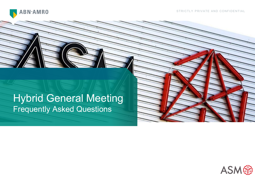

# Hybrid General Meeting Frequently Asked Questions

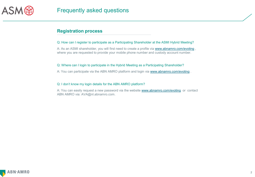

# **Registration process**

### Q: How can I register to participate as a Participating Shareholder at the ASMI Hybrid Meeting?

A: As an ASMI shareholder, you will first need to create a profile via [www.abnamro.com/evoting](http://www.abnamro.com/evoting), where you are requested to provide your mobile phone number and custody account number.

### Q: Where can I login to participate in the Hybrid Meeting as a Participating Shareholder?

A: You can participate via the ABN AMRO platform and login via [www.abnamro.com/evoting](http://www.abnamro.com/evoting) .

### Q: I don't know my login details for the ABN AMRO platform?

A: You can easily request a new password via the website [www.abnamro.com/evoting](http://www.abnamro.com/evoting) or contact ABN AMRO via: AVA@nl.abnamro.com.

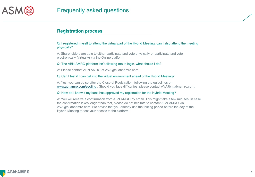

# **Registration process**

Q: I registered myself to attend the virtual part of the Hybrid Meeting, can I also attend the meeting physically?

A: Shareholders are able to either participate and vote physically or participate and vote electronically (virtually) via the Online platform.

#### Q: The ABN AMRO platform isn't allowing me to login, what should I do?

A: Please contact ABN AMRO at AVA@nl.abnamro.com.

### Q: Can I test if I can get into the virtual environment ahead of the Hybrid Meeting?

A: Yes, you can do so after the Close of Registration, following the guidelines on [www.abnamro.com/evoting](http://www.abnamro.com/evoting) . Should you face difficulties, please contact AVA@nl.abnamro.com.

#### Q: How do I know if my bank has approved my registration for the Hybrid Meeting?

A: You will receive a confirmation from ABN AMRO by email. This might take a few minutes. In case the confirmation lakes longer than that, please do not hesitate to contact ABN AMRO via AVA@nl.abnamro.com. We advise that you already use the testing period before the day of the Hybrid Meeting to test your access to the platform.

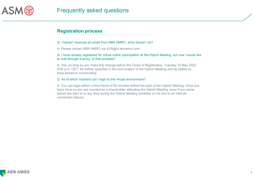

# **Registration process**

#### Q: I haven't received an email from ABN AMRO, what should I do?

A: Please contact ABN AMRO via AVA@nl.abnamro.com.

### Q: I have already registered for virtual online participation at the Hybrid Meeting, but now I would like to vote through a proxy. Is that possible?

A: Yes, as long as you make this change before the Close of Registration, Tuesday 10 May 2022 5:00 p.m. CET. As further specified in the convocation of the Hybrid Meeting and as stated on www.abnamro.com/evoting.

### Q: As of which moment can I login to the virtual environment?

A: You can login within a time frame of 60 minutes before the start of the Hybrid Meeting. Once you have done so you are counted as a shareholder attending the Hybrid Meeting, even if you leave before the start of or any time during the Hybrid Meeting (whether or not due to an internet connection failure).

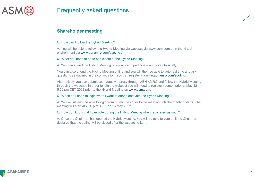

# **Shareholder meeting**

### Q: How can I follow the Hybrid Meeting?

A: You will be able to follow the Hybrid Meeting via webcast via www.asm.com or in the virtual environment via [www.abnamro.com/evoting](http://www.abnamro.com/evoting) .

### Q: What do I need to do to participate at the Hybrid Meeting?

A: You can attend the Hybrid Meeting physically and participate and vote physically.

You can also attend the Hybrid Meeting online and you will then be able to vote real time and ask questions as outlined in the convocation. You can register via [www.abnamro.com/evoting.](http://www.abnamro.com/evoting)

Alternatively you can submit your votes via proxy through ABN AMRO and follow the Hybrid Meeting through the webcast. In order to join the webcast you will need to register yourself prior to May 12 5:00 pm CET 2022 prior to the Hybrid Meeting on [www.asm.com](http://www.asm.com/).

### Q: When do I need to login when I want to attend and vote the Hybrid Meeting?

A: You will at least be able to login from 60 minutes prior to the meeting until the meeting starts. The meeting will start at 2:00 p.m. CET on 16 May 2022.

### Q: How do I know that I can vote during the Hybrid Meeting when registered as such?

A: Once the Chairman has opened the Hybrid Meeting, you will be able to vote until the Chairman declares that the voting will be closed after the last voting item.

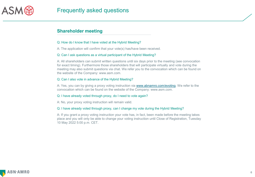

# **Shareholder meeting**

#### Q: How do I know that I have voted at the Hybrid Meeting?

A: The application will confirm that your vote(s) has/have been received.

### Q: Can I ask questions as a virtual participant of the Hybrid Meeting?

A: All shareholders can submit written questions until six days prior to the meeting (see convocation for exact timing). Furthermore those shareholders that will participate virtually and vote during the meeting may also submit questions via chat. We refer you to the convocation which can be found on the website of the Company: www.asm.com.

### Q: Can I also vote in advance of the Hybrid Meeting?

A: Yes, you can by giving a proxy voting instruction via [www.abnamro.com/evoting](http://www.abnamro.com/evoting). We refer to the convocation which can be found on the website of the Company: www.asm.com.

### Q: I have already voted through proxy, do I need to vote again?

A: No, your proxy voting instruction will remain valid.

### Q: I have already voted through proxy, can I change my vote during the Hybrid Meeting?

A: If you grant a proxy voting instruction your vote has, in fact, been made before the meeting takes place and you will only be able to change your voting instruction until Close of Registration, Tuesday 10 May 2022 5:00 p.m. CET.

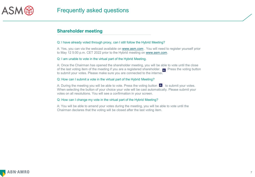

# **Shareholder meeting**

### Q: I have already voted through proxy, can I still follow the Hybrid Meeting?

A: Yes, you can via the webcast available on [www.asm.com](http://www.asm.com/) . You will need to register yourself prior to May 12 5:00 p.m. CET 2022 prior to the Hybrid meeting on [www.asm.com](http://www.asm.com/).

### Q: I am unable to vote in the virtual part of the Hybrid Meeting.

A: Once the Chairman has opened the shareholder meeting, you will be able to vote until the close of the last voting item of the meeting if you are a registered shareholder.  $\blacksquare$  Press the voting button to submit your votes. Please make sure you are connected to the internet.

### Q: How can I submit a vote in the virtual part of the Hybrid Meeting?

A: During the meeting you will be able to vote. Press the voting button  $\mathbf{u}$  to submit your votes. When selecting the button of your choice your vote will be cast automatically. Please submit your votes on all resolutions. You will see a confirmation in your screen.

### Q: How can I change my vote in the virtual part of the Hybrid Meeting?

A: You will be able to amend your votes during the meeting, you will be able to vote until the Chairman declares that the voting will be closed after the last voting item.

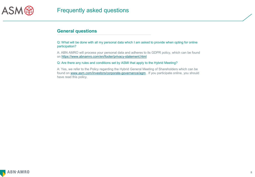

Q: What will be done with all my personal data which I am asked to provide when opting for online participation?

A: ABN AMRO will process your personal data and adheres to its GDPR policy, which can be found on<https://www.abnamro.com/en/footer/privacy-statement.html>

#### Q: Are there any rules and conditions set by ASMI that apply to the Hybrid Meeting?

A: Yes, we refer to the Policy regarding the Hybrid General Meeting of Shareholders which can be found on [www.asm.com/investors/corporate-governance/agm](http://www.asm.com/investors/corporate-governance/agm) . If you participate online, you should have read this policy.

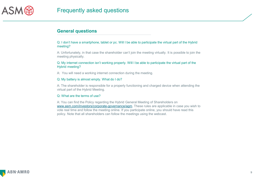

Q: I don't have a smartphone, tablet or pc. Will I be able to participate the virtual part of the Hybrid meeting?

A: Unfortunately, in that case the shareholder can't join the meeting virtually. It is possible to join the meeting physically.

Q: My internet connection isn't working properly. Will I be able to participate the virtual part of the Hybrid meeting?

A: You will need a working internet connection during the meeting.

#### Q: My battery is almost empty. What do I do?

A: The shareholder is responsible for a properly functioning and charged device when attending the virtual part of the Hybrid Meeting.

### Q: What are the terms of use?

A: You can find the Policy regarding the Hybrid General Meeting of Shareholders on [www.asm.com/investors/corporate-governance/agm.](http://www.asm.com/investors/corporate-governance/agm) These rules are applicable in case you wish to vote real time and follow the meeting online. If you participate online, you should have read this policy. Note that all shareholders can follow the meetings using the webcast.

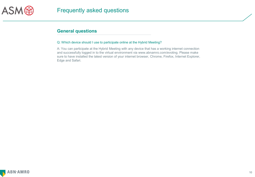

### Q: Which device should I use to participate online at the Hybrid Meeting?

A: You can participate at the Hybrid Meeting with any device that has a working internet connection and successfully logged in to the virtual environment via www.abnamro.com/evoting. Please make sure to have installed the latest version of your internet browser, Chrome, Firefox, Internet Explorer, Edge and Safari.

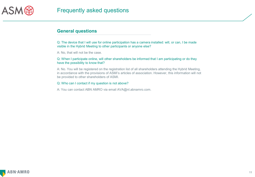

Q: The device that I will use for online participation has a camera installed: will, or can, I be made visible in the Hybrid Meeting to other participants or anyone else?

A: No, that will not be the case.

### Q: When I participate online, will other shareholders be informed that I am participating or do they have the possibility to know that?

A: No. You will be registered on the registration list of all shareholders attending the Hybrid Meeting, in accordance with the provisions of ASMI's articles of association. However, this information will not be provided to other shareholders of ASMI.

### Q: Who can I contact if my question is not above?

A: You can contact ABN AMRO via email AVA@nl.abnamro.com.

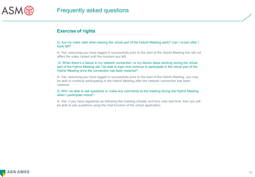

# **Exercise of rights**

Q: Are my votes valid when leaving the virtual part of the Hybrid Meeting early? Can I re-join after I have left?

A: Yes, assuming you have logged in successfully prior to the start of the Hybrid Meeting this will not affect the votes casted until the moment you left.

Q: When there's a failure in my network connection, or my device stops working during the virtual part of the Hybrid Meeting will I be able to login and continue to participate in the virtual part of the Hybrid Meeting once the connection has been restored?

A: Yes, assuming you have logged in successfully prior to the start of the Hybrid Meeting, you may be able to continue participating in the Hybrid Meeting after the network connection has been restored.

Q: Will I be able to ask questions or make any comments to the meeting during the Hybrid Meeting when I participate online?

A: Yes, if you have registered as following the meeting virtually and thus vote real time, then you will be able to ask questions using the chat function of the virtual application.